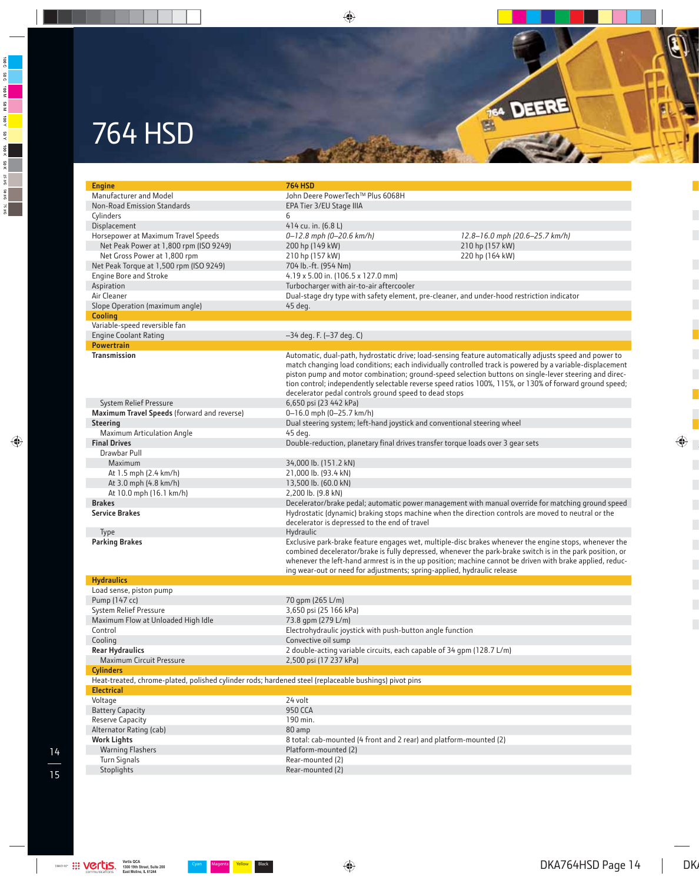## 764 HSD

| <b>Engine</b>                                                                                         | <b>764 HSD</b>                                                                                                                                                  |                                                                                                                                                                                                                                                                                                                                  |
|-------------------------------------------------------------------------------------------------------|-----------------------------------------------------------------------------------------------------------------------------------------------------------------|----------------------------------------------------------------------------------------------------------------------------------------------------------------------------------------------------------------------------------------------------------------------------------------------------------------------------------|
| Manufacturer and Model                                                                                | John Deere PowerTech™ Plus 6068H                                                                                                                                |                                                                                                                                                                                                                                                                                                                                  |
| Non-Road Emission Standards                                                                           | EPA Tier 3/EU Stage IIIA                                                                                                                                        |                                                                                                                                                                                                                                                                                                                                  |
| Cylinders                                                                                             | 6                                                                                                                                                               |                                                                                                                                                                                                                                                                                                                                  |
| Displacement                                                                                          | 414 cu. in. (6.8 L)                                                                                                                                             |                                                                                                                                                                                                                                                                                                                                  |
| Horsepower at Maximum Travel Speeds                                                                   |                                                                                                                                                                 | 12.8-16.0 mph (20.6-25.7 km/h)                                                                                                                                                                                                                                                                                                   |
|                                                                                                       | 0-12.8 mph (0-20.6 km/h)                                                                                                                                        |                                                                                                                                                                                                                                                                                                                                  |
| Net Peak Power at 1,800 rpm (ISO 9249)                                                                | 200 hp (149 kW)                                                                                                                                                 | 210 hp (157 kW)                                                                                                                                                                                                                                                                                                                  |
| Net Gross Power at 1,800 rpm                                                                          | 210 hp (157 kW)                                                                                                                                                 | 220 hp (164 kW)                                                                                                                                                                                                                                                                                                                  |
| Net Peak Torque at 1,500 rpm (ISO 9249)                                                               | 704 lb.-ft. (954 Nm)                                                                                                                                            |                                                                                                                                                                                                                                                                                                                                  |
| <b>Engine Bore and Stroke</b>                                                                         | 4.19 x 5.00 in. (106.5 x 127.0 mm)                                                                                                                              |                                                                                                                                                                                                                                                                                                                                  |
| Aspiration                                                                                            | Turbocharger with air-to-air aftercooler                                                                                                                        |                                                                                                                                                                                                                                                                                                                                  |
| Air Cleaner                                                                                           | Dual-stage dry type with safety element, pre-cleaner, and under-hood restriction indicator                                                                      |                                                                                                                                                                                                                                                                                                                                  |
| Slope Operation (maximum angle)                                                                       | 45 deg.                                                                                                                                                         |                                                                                                                                                                                                                                                                                                                                  |
| <b>Cooling</b>                                                                                        |                                                                                                                                                                 |                                                                                                                                                                                                                                                                                                                                  |
| Variable-speed reversible fan                                                                         |                                                                                                                                                                 |                                                                                                                                                                                                                                                                                                                                  |
| <b>Engine Coolant Rating</b>                                                                          | -34 deg. F. (-37 deg. C)                                                                                                                                        |                                                                                                                                                                                                                                                                                                                                  |
| <b>Powertrain</b>                                                                                     |                                                                                                                                                                 |                                                                                                                                                                                                                                                                                                                                  |
| <b>Transmission</b>                                                                                   | Automatic, dual-path, hydrostatic drive; load-sensing feature automatically adjusts speed and power to<br>decelerator pedal controls ground speed to dead stops | match changing load conditions; each individually controlled track is powered by a variable-displacement<br>piston pump and motor combination; ground-speed selection buttons on single-lever steering and direc-<br>tion control; independently selectable reverse speed ratios 100%, 115%, or 130% of forward ground speed;    |
| System Relief Pressure                                                                                | 6,650 psi (23 442 kPa)                                                                                                                                          |                                                                                                                                                                                                                                                                                                                                  |
| Maximum Travel Speeds (forward and reverse)                                                           | 0-16.0 mph (0-25.7 km/h)                                                                                                                                        |                                                                                                                                                                                                                                                                                                                                  |
| <b>Steering</b>                                                                                       | Dual steering system; left-hand joystick and conventional steering wheel                                                                                        |                                                                                                                                                                                                                                                                                                                                  |
| Maximum Articulation Angle                                                                            | 45 deg.                                                                                                                                                         |                                                                                                                                                                                                                                                                                                                                  |
| <b>Final Drives</b>                                                                                   | Double-reduction, planetary final drives transfer torque loads over 3 gear sets                                                                                 |                                                                                                                                                                                                                                                                                                                                  |
| Drawbar Pull                                                                                          |                                                                                                                                                                 |                                                                                                                                                                                                                                                                                                                                  |
| Maximum                                                                                               | 34,000 lb. (151.2 kN)                                                                                                                                           |                                                                                                                                                                                                                                                                                                                                  |
| At 1.5 mph (2.4 km/h)                                                                                 | 21,000 lb. (93.4 kN)                                                                                                                                            |                                                                                                                                                                                                                                                                                                                                  |
| At 3.0 mph (4.8 km/h)                                                                                 | 13,500 lb. (60.0 kN)                                                                                                                                            |                                                                                                                                                                                                                                                                                                                                  |
| At 10.0 mph (16.1 km/h)                                                                               | 2,200 lb. (9.8 kN)                                                                                                                                              |                                                                                                                                                                                                                                                                                                                                  |
| <b>Brakes</b>                                                                                         |                                                                                                                                                                 | Decelerator/brake pedal; automatic power management with manual override for matching ground speed                                                                                                                                                                                                                               |
| <b>Service Brakes</b>                                                                                 | Hydrostatic (dynamic) braking stops machine when the direction controls are moved to neutral or the                                                             |                                                                                                                                                                                                                                                                                                                                  |
|                                                                                                       | decelerator is depressed to the end of travel                                                                                                                   |                                                                                                                                                                                                                                                                                                                                  |
| Type                                                                                                  | Hydraulic                                                                                                                                                       |                                                                                                                                                                                                                                                                                                                                  |
| <b>Parking Brakes</b>                                                                                 | ing wear-out or need for adjustments; spring-applied, hydraulic release                                                                                         | Exclusive park-brake feature engages wet, multiple-disc brakes whenever the engine stops, whenever the<br>combined decelerator/brake is fully depressed, whenever the park-brake switch is in the park position, or<br>whenever the left-hand armrest is in the up position; machine cannot be driven with brake applied, reduc- |
| <b>Hydraulics</b>                                                                                     |                                                                                                                                                                 |                                                                                                                                                                                                                                                                                                                                  |
| Load sense, piston pump                                                                               |                                                                                                                                                                 |                                                                                                                                                                                                                                                                                                                                  |
| Pump (147 cc)                                                                                         | 70 gpm (265 L/m)                                                                                                                                                |                                                                                                                                                                                                                                                                                                                                  |
| System Relief Pressure                                                                                | 3,650 psi (25 166 kPa)                                                                                                                                          |                                                                                                                                                                                                                                                                                                                                  |
| Maximum Flow at Unloaded High Idle                                                                    | 73.8 qpm (279 L/m)                                                                                                                                              |                                                                                                                                                                                                                                                                                                                                  |
| Control                                                                                               | Electrohydraulic joystick with push-button angle function                                                                                                       |                                                                                                                                                                                                                                                                                                                                  |
| Cooling                                                                                               | Convective oil sump                                                                                                                                             |                                                                                                                                                                                                                                                                                                                                  |
| <b>Rear Hydraulics</b>                                                                                | 2 double-acting variable circuits, each capable of 34 gpm (128.7 L/m)                                                                                           |                                                                                                                                                                                                                                                                                                                                  |
| Maximum Circuit Pressure                                                                              | 2,500 psi (17 237 kPa)                                                                                                                                          |                                                                                                                                                                                                                                                                                                                                  |
| <b>Cylinders</b>                                                                                      |                                                                                                                                                                 |                                                                                                                                                                                                                                                                                                                                  |
| Heat-treated, chrome-plated, polished cylinder rods; hardened steel (replaceable bushings) pivot pins |                                                                                                                                                                 |                                                                                                                                                                                                                                                                                                                                  |
| <b>Electrical</b>                                                                                     |                                                                                                                                                                 |                                                                                                                                                                                                                                                                                                                                  |
| Voltage                                                                                               | 24 volt                                                                                                                                                         |                                                                                                                                                                                                                                                                                                                                  |
| <b>Battery Capacity</b>                                                                               | <b>950 CCA</b>                                                                                                                                                  |                                                                                                                                                                                                                                                                                                                                  |
| Reserve Capacity                                                                                      | 190 min.                                                                                                                                                        |                                                                                                                                                                                                                                                                                                                                  |
| Alternator Rating (cab)                                                                               | 80 amp                                                                                                                                                          |                                                                                                                                                                                                                                                                                                                                  |
| <b>Work Lights</b>                                                                                    | 8 total: cab-mounted (4 front and 2 rear) and platform-mounted (2)                                                                                              |                                                                                                                                                                                                                                                                                                                                  |
| <b>Warning Flashers</b>                                                                               | Platform-mounted (2)                                                                                                                                            |                                                                                                                                                                                                                                                                                                                                  |
| Turn Signals                                                                                          | Rear-mounted (2)                                                                                                                                                |                                                                                                                                                                                                                                                                                                                                  |
| Stoplights                                                                                            | Rear-mounted (2)                                                                                                                                                |                                                                                                                                                                                                                                                                                                                                  |
|                                                                                                       |                                                                                                                                                                 |                                                                                                                                                                                                                                                                                                                                  |

Tes DEERE

 $\overline{a}$